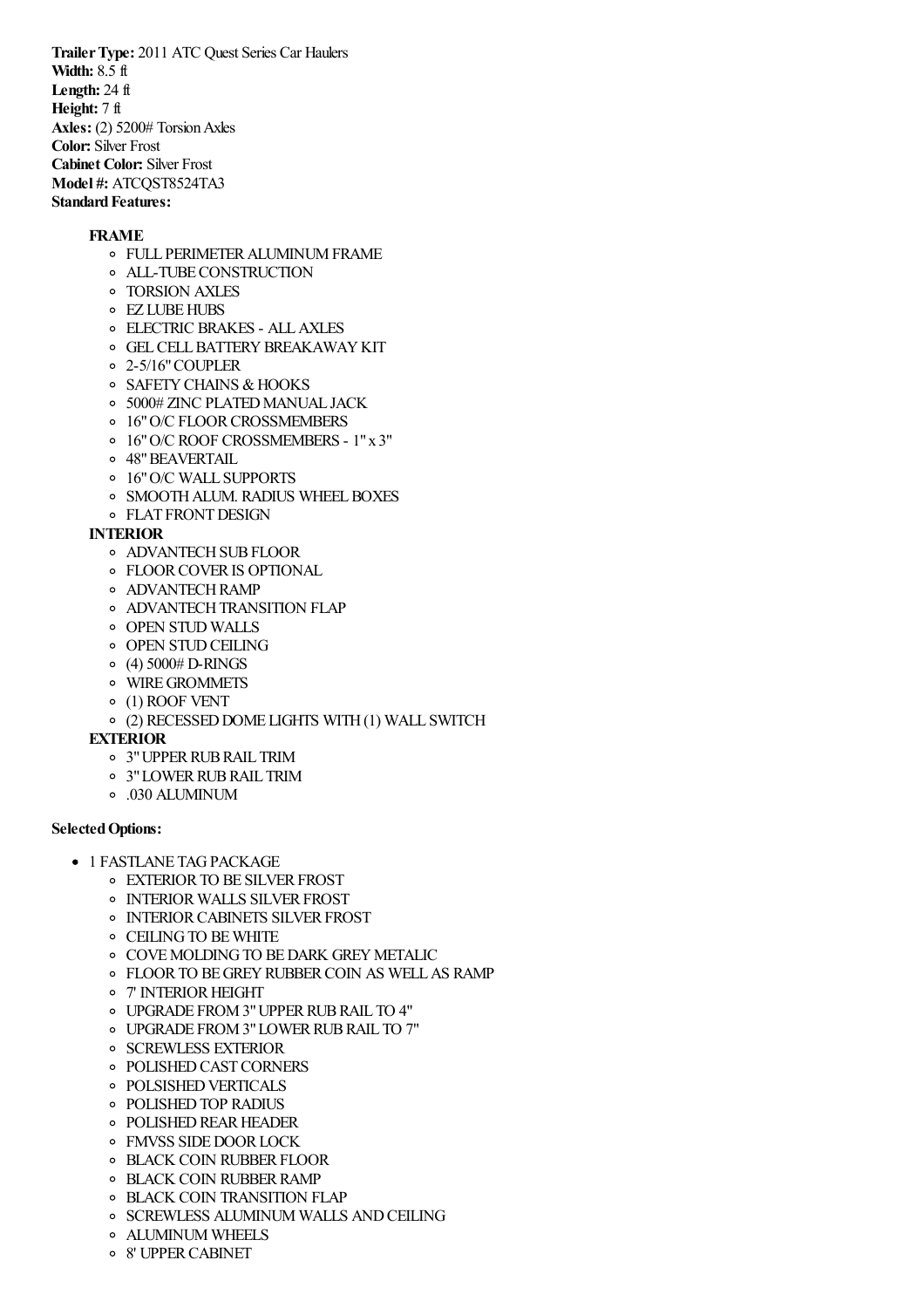**TrailerType:** 2011 ATC Quest Series Car Haulers **Width:** 8.5 ft **Length:** 24 ft **Height:** 7 ft Axles: (2) 5200# Torsion Axles **Color:** Silver Frost **Cabinet Color:** Silver Frost **Model #: ATCOST8524TA3 Standard Features:** 

## **FRAME**

- **O FULL PERIMETER ALUMINUM FRAME**
- ALL-TUBECONSTRUCTION
- TORSION AXLES
- **O** EZ LUBE HUBS
- ELECTRIC BRAKES ALLAXLES
- **O GEL CELL BATTERY BREAKAWAY KIT**
- 2-5/16"COUPLER
- o SAFETY CHAINS & HOOKS
- o 5000# ZINC PLATED MANUAL JACK
- o 16" O/C FLOOR CROSSMEMBERS
- 16"O/C ROOF CROSSMEMBERS 1"x 3"
- 48"BEAVERTAIL
- 16"O/C WALL SUPPORTS
- o SMOOTH ALUM. RADIUS WHEEL BOXES
- FLAT FRONTDESIGN

### **INTERIOR**

- o ADVANTECH SUB FLOOR
- **OF FLOOR COVER IS OPTIONAL**
- **O** ADVANTECH RAMP
- **O ADVANTECH TRANSITION FLAP**
- o OPEN STUD WALLS
- **OPEN STUD CEILING**
- $(4)$  5000# D-RINGS
- WIREGROMMETS
- (1) ROOF VENT
- (2) RECESSEDDOME LIGHTS WITH(1) WALL SWITCH

#### **EXTERIOR**

- 3"UPPERRUBRAIL TRIM
- 3"LOWERRUBRAIL TRIM
- .030 ALUMINUM

## **SelectedOptions:**

- **1 FASTLANE TAG PACKAGE** 
	- **EXTERIOR TO BE SILVER FROST**
	- o INTERIOR WALLS SILVER FROST
	- o INTERIOR CABINETS SILVER FROST
	- CEILINGTO BEWHITE
	- **O COVE MOLDING TO BE DARK GREY METALIC**
	- FLOORTO BEGREYRUBBERCOIN AS WELLAS RAMP
	- o 7' INTERIOR HEIGHT
	- UPGRADE FROM3"UPPERRUBRAIL TO 4"
	- UPGRADE FROM3"LOWERRUBRAIL TO 7"
	- o SCREWLESS EXTERIOR
	- o POLISHED CAST CORNERS
	- **O POLSISHED VERTICALS**
	- POLISHEDTOP RADIUS
	- **POLISHED REAR HEADER**
	- o FMVSS SIDE DOOR LOCK
	- o BLACK COIN RUBBER FLOOR
	- o BLACK COIN RUBBER RAMP
	- BLACK COIN TRANSITION FLAP
	- o SCREWLESS ALUMINUM WALLS AND CEILING
	- ALUMINUM WHEELS
	- 8' UPPERCABINET